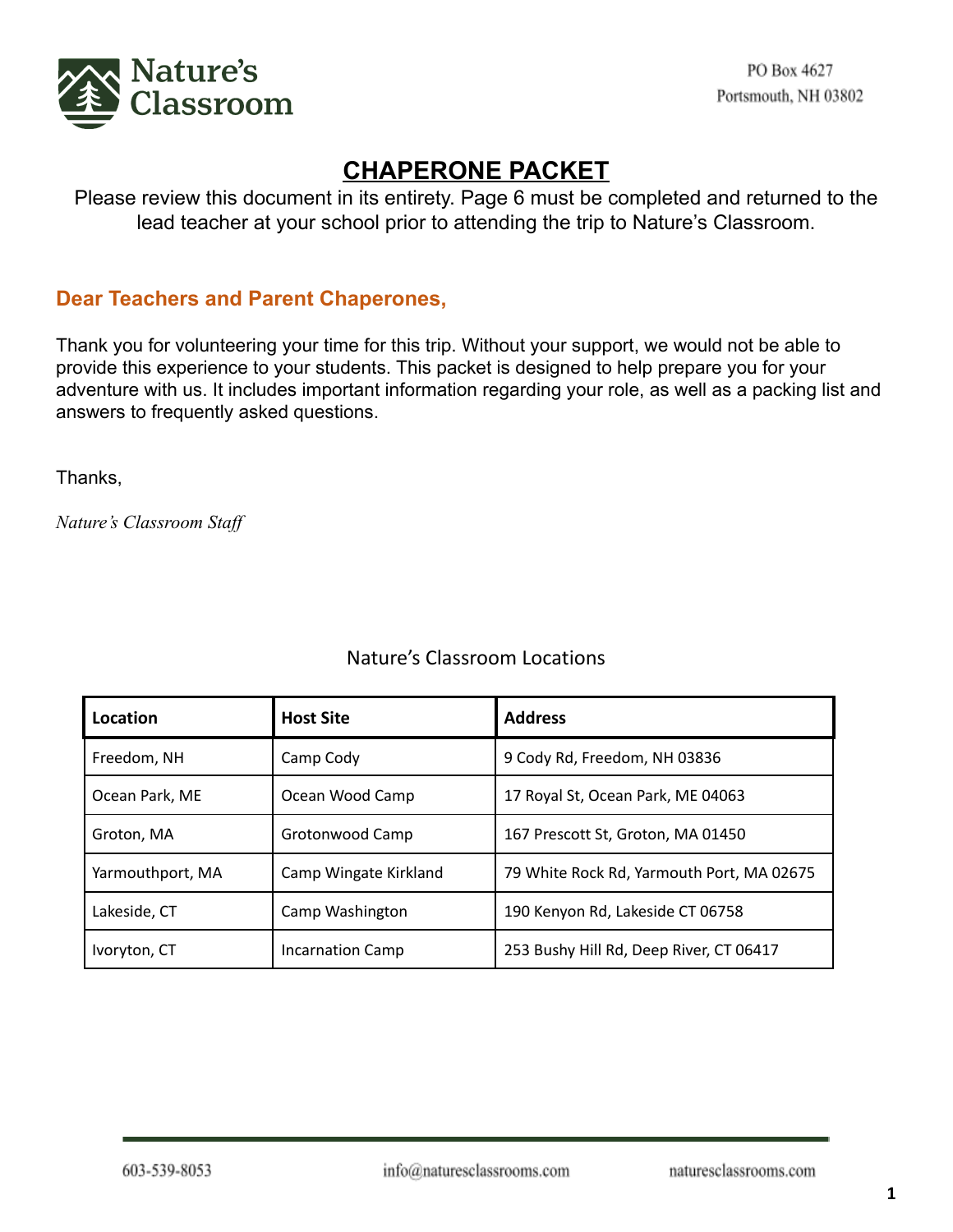

## **CHAPERONE PACKET**

Please review this document in its entirety. Page 6 must be completed and returned to the lead teacher at your school prior to attending the trip to Nature's Classroom.

## **Dear Teachers and Parent Chaperones,**

Thank you for volunteering your time for this trip. Without your support, we would not be able to provide this experience to your students. This packet is designed to help prepare you for your adventure with us. It includes important information regarding your role, as well as a packing list and answers to frequently asked questions.

Thanks,

*Nature's Classroom Staff*

| Location         | <b>Host Site</b>        | <b>Address</b>                            |
|------------------|-------------------------|-------------------------------------------|
| Freedom, NH      | Camp Cody               | 9 Cody Rd, Freedom, NH 03836              |
| Ocean Park, ME   | Ocean Wood Camp         | 17 Royal St, Ocean Park, ME 04063         |
| Groton, MA       | Grotonwood Camp         | 167 Prescott St, Groton, MA 01450         |
| Yarmouthport, MA | Camp Wingate Kirkland   | 79 White Rock Rd, Yarmouth Port, MA 02675 |
| Lakeside, CT     | Camp Washington         | 190 Kenyon Rd, Lakeside CT 06758          |
| Ivoryton, CT     | <b>Incarnation Camp</b> | 253 Bushy Hill Rd, Deep River, CT 06417   |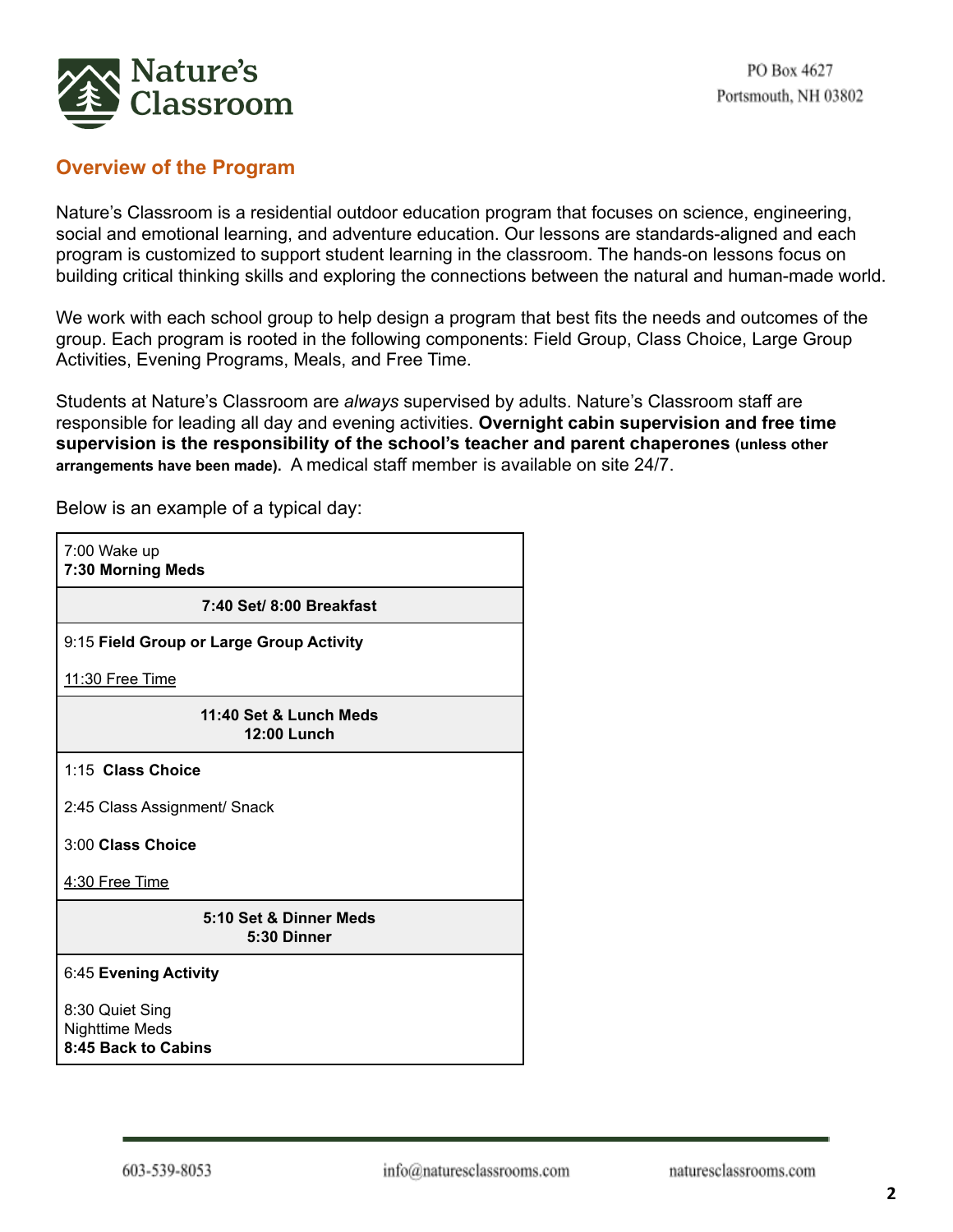

## **Overview of the Program**

Nature's Classroom is a residential outdoor education program that focuses on science, engineering, social and emotional learning, and adventure education. Our lessons are standards-aligned and each program is customized to support student learning in the classroom. The hands-on lessons focus on building critical thinking skills and exploring the connections between the natural and human-made world.

We work with each school group to help design a program that best fits the needs and outcomes of the group. Each program is rooted in the following components: Field Group, Class Choice, Large Group Activities, Evening Programs, Meals, and Free Time.

Students at Nature's Classroom are *always* supervised by adults. Nature's Classroom staff are responsible for leading all day and evening activities. **Overnight cabin supervision and free time supervision is the responsibility of the school's teacher and parent chaperones (unless other arrangements have been made).** A medical staff member is available on site 24/7.

7:00 Wake up **7:30 Morning Meds 7:40 Set/ 8:00 Breakfast** 9:15 **Field Group or Large Group Activity** 11:30 Free Time **11:40 Set & Lunch Meds 12:00 Lunch** 1:15 **Class Choice** 2:45 Class Assignment/ Snack 3:00 **Class Choice** 4:30 Free Time **5:10 Set & Dinner Meds 5:30 Dinner** 6:45 **Evening Activity** 8:30 Quiet Sing Nighttime Meds **8:45 Back to Cabins**

Below is an example of a typical day: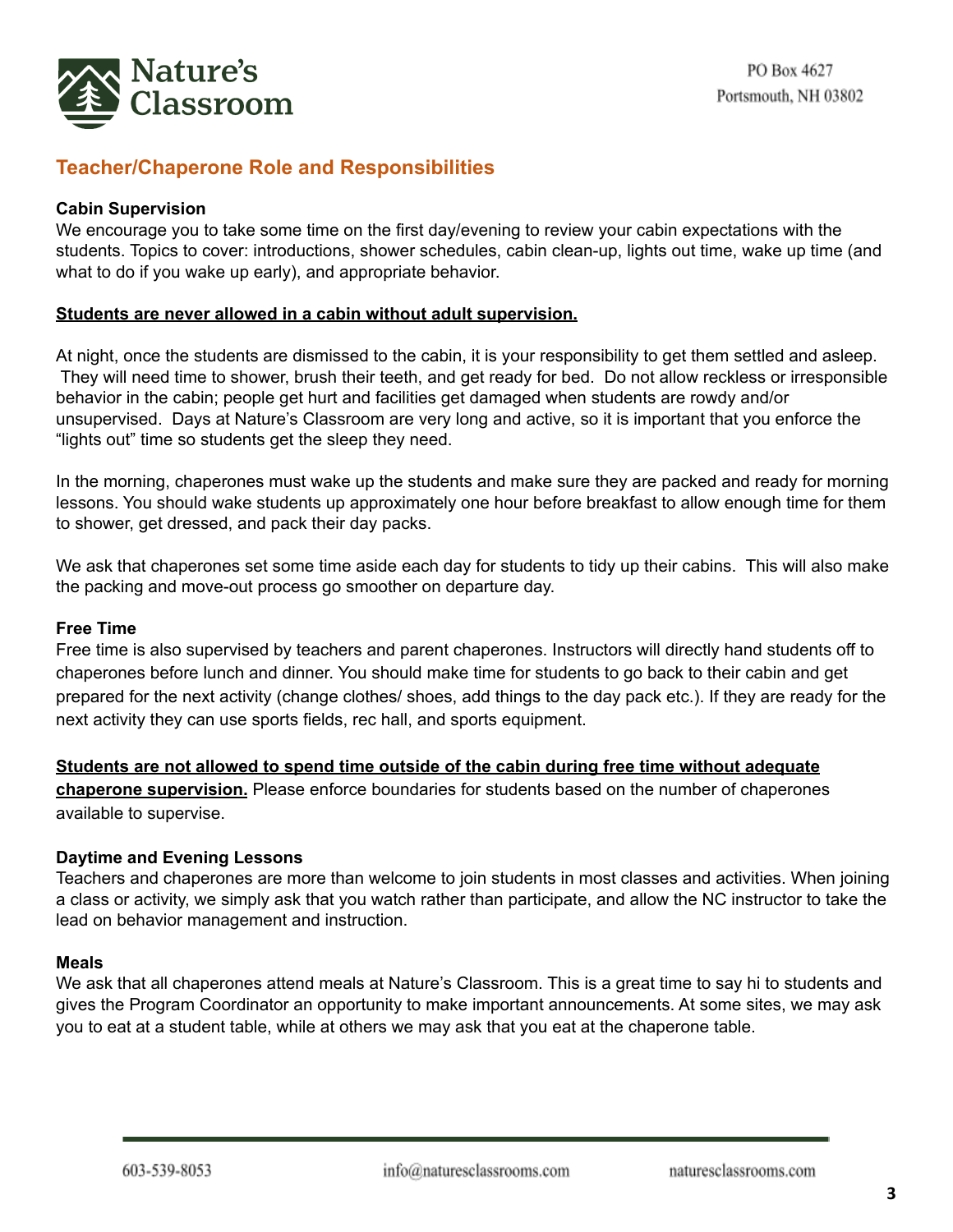

## **Teacher/Chaperone Role and Responsibilities**

### **Cabin Supervision**

We encourage you to take some time on the first day/evening to review your cabin expectations with the students. Topics to cover: introductions, shower schedules, cabin clean-up, lights out time, wake up time (and what to do if you wake up early), and appropriate behavior.

#### **Students are never allowed in a cabin without adult supervision.**

At night, once the students are dismissed to the cabin, it is your responsibility to get them settled and asleep. They will need time to shower, brush their teeth, and get ready for bed. Do not allow reckless or irresponsible behavior in the cabin; people get hurt and facilities get damaged when students are rowdy and/or unsupervised. Days at Nature's Classroom are very long and active, so it is important that you enforce the "lights out" time so students get the sleep they need.

In the morning, chaperones must wake up the students and make sure they are packed and ready for morning lessons. You should wake students up approximately one hour before breakfast to allow enough time for them to shower, get dressed, and pack their day packs.

We ask that chaperones set some time aside each day for students to tidy up their cabins. This will also make the packing and move-out process go smoother on departure day.

#### **Free Time**

Free time is also supervised by teachers and parent chaperones. Instructors will directly hand students off to chaperones before lunch and dinner. You should make time for students to go back to their cabin and get prepared for the next activity (change clothes/ shoes, add things to the day pack etc.). If they are ready for the next activity they can use sports fields, rec hall, and sports equipment.

## **Students are not allowed to spend time outside of the cabin during free time without adequate**

**chaperone supervision.** Please enforce boundaries for students based on the number of chaperones available to supervise.

#### **Daytime and Evening Lessons**

Teachers and chaperones are more than welcome to join students in most classes and activities. When joining a class or activity, we simply ask that you watch rather than participate, and allow the NC instructor to take the lead on behavior management and instruction.

#### **Meals**

We ask that all chaperones attend meals at Nature's Classroom. This is a great time to say hi to students and gives the Program Coordinator an opportunity to make important announcements. At some sites, we may ask you to eat at a student table, while at others we may ask that you eat at the chaperone table.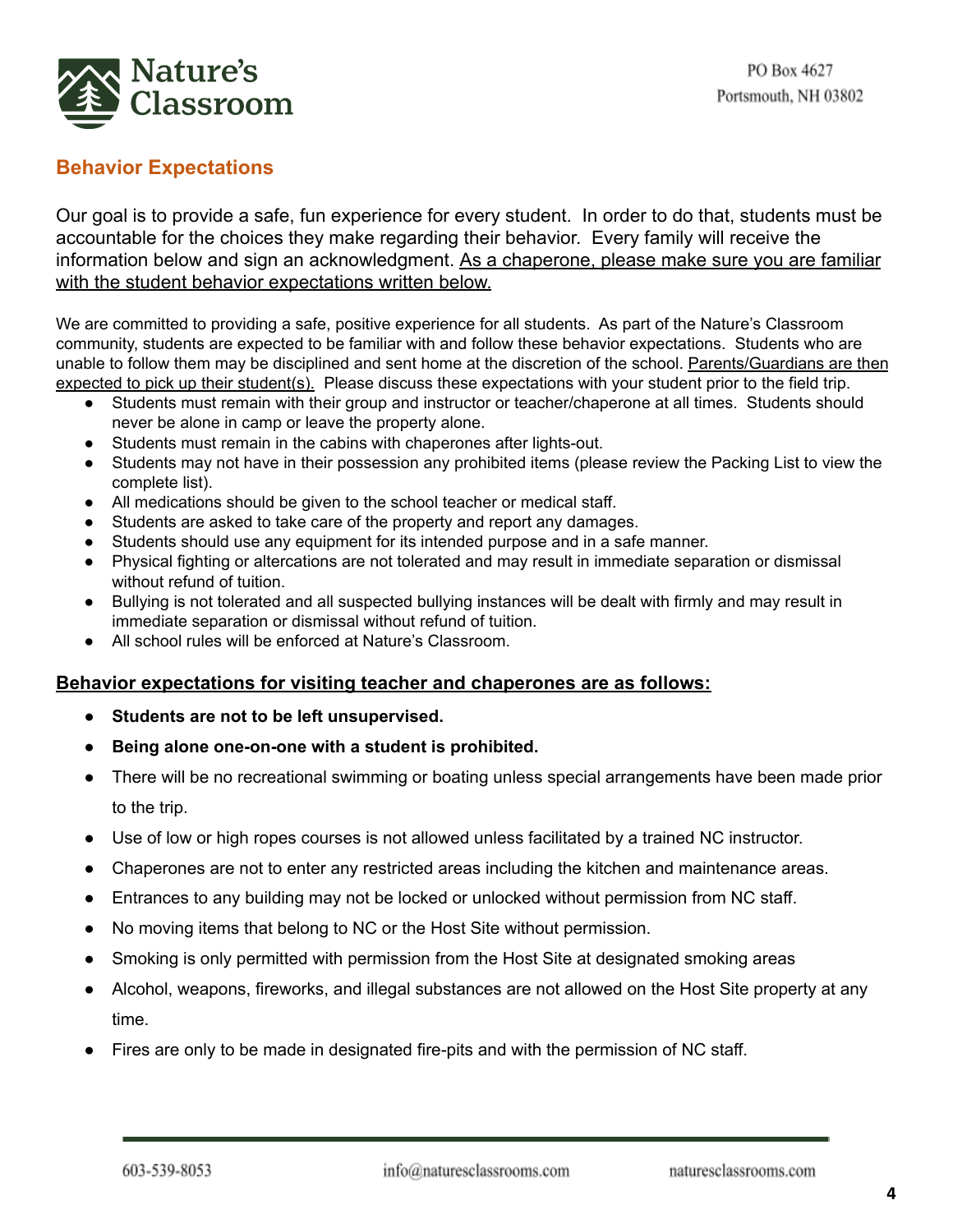

## **Behavior Expectations**

Our goal is to provide a safe, fun experience for every student. In order to do that, students must be accountable for the choices they make regarding their behavior. Every family will receive the information below and sign an acknowledgment. As a chaperone, please make sure you are familiar with the student behavior expectations written below.

We are committed to providing a safe, positive experience for all students. As part of the Nature's Classroom community, students are expected to be familiar with and follow these behavior expectations. Students who are unable to follow them may be disciplined and sent home at the discretion of the school. Parents/Guardians are then expected to pick up their student(s). Please discuss these expectations with your student prior to the field trip.

- Students must remain with their group and instructor or teacher/chaperone at all times. Students should never be alone in camp or leave the property alone.
- Students must remain in the cabins with chaperones after lights-out.
- Students may not have in their possession any prohibited items (please review the Packing List to view the complete list).
- All medications should be given to the school teacher or medical staff.
- Students are asked to take care of the property and report any damages.
- Students should use any equipment for its intended purpose and in a safe manner.
- Physical fighting or altercations are not tolerated and may result in immediate separation or dismissal without refund of tuition.
- Bullying is not tolerated and all suspected bullying instances will be dealt with firmly and may result in immediate separation or dismissal without refund of tuition.
- All school rules will be enforced at Nature's Classroom.

## **Behavior expectations for visiting teacher and chaperones are as follows:**

- **● Students are not to be left unsupervised.**
- **● Being alone one-on-one with a student is prohibited.**
- There will be no recreational swimming or boating unless special arrangements have been made prior to the trip.
- Use of low or high ropes courses is not allowed unless facilitated by a trained NC instructor.
- Chaperones are not to enter any restricted areas including the kitchen and maintenance areas.
- Entrances to any building may not be locked or unlocked without permission from NC staff.
- No moving items that belong to NC or the Host Site without permission.
- Smoking is only permitted with permission from the Host Site at designated smoking areas
- Alcohol, weapons, fireworks, and illegal substances are not allowed on the Host Site property at any time.
- Fires are only to be made in designated fire-pits and with the permission of NC staff.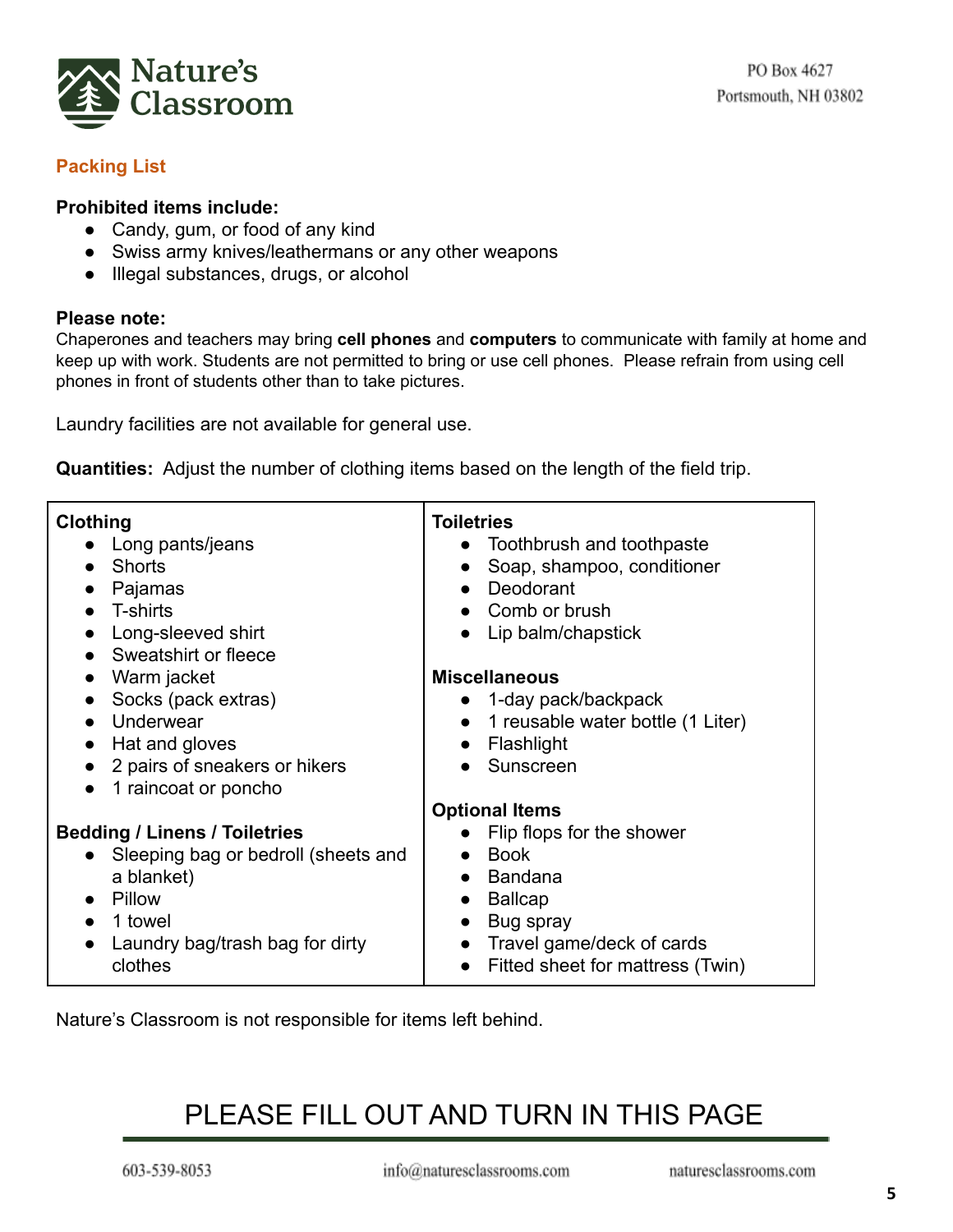

## **Packing List**

## **Prohibited items include:**

- Candy, gum, or food of any kind
- Swiss army knives/leathermans or any other weapons
- Illegal substances, drugs, or alcohol

## **Please note:**

Chaperones and teachers may bring **cell phones** and **computers** to communicate with family at home and keep up with work. Students are not permitted to bring or use cell phones. Please refrain from using cell phones in front of students other than to take pictures.

Laundry facilities are not available for general use.

**Quantities:** Adjust the number of clothing items based on the length of the field trip.

| <b>Clothing</b><br>Long pants/jeans<br><b>Shorts</b><br>Pajamas<br>$\bullet$<br>T-shirts<br>Long-sleeved shirt<br>$\bullet$<br>Sweatshirt or fleece                                    | Toiletries<br>Toothbrush and toothpaste<br>Soap, shampoo, conditioner<br>Deodorant<br>Comb or brush<br>Lip balm/chapstick                                                                 |
|----------------------------------------------------------------------------------------------------------------------------------------------------------------------------------------|-------------------------------------------------------------------------------------------------------------------------------------------------------------------------------------------|
| Warm jacket<br>Socks (pack extras)<br>$\bullet$<br>Underwear<br>Hat and gloves<br>2 pairs of sneakers or hikers<br>1 raincoat or poncho                                                | <b>Miscellaneous</b><br>1-day pack/backpack<br>1 reusable water bottle (1 Liter)<br>Flashlight<br>Sunscreen                                                                               |
| <b>Bedding / Linens / Toiletries</b><br>Sleeping bag or bedroll (sheets and<br>a blanket)<br>Pillow<br>$\bullet$<br>1 towel<br>$\bullet$<br>Laundry bag/trash bag for dirty<br>clothes | <b>Optional Items</b><br>Flip flops for the shower<br><b>Book</b><br>Bandana<br><b>Ballcap</b><br>Bug spray<br>Travel game/deck of cards<br>$\bullet$<br>Fitted sheet for mattress (Twin) |

Nature's Classroom is not responsible for items left behind.

# PLEASE FILL OUT AND TURN IN THIS PAGE